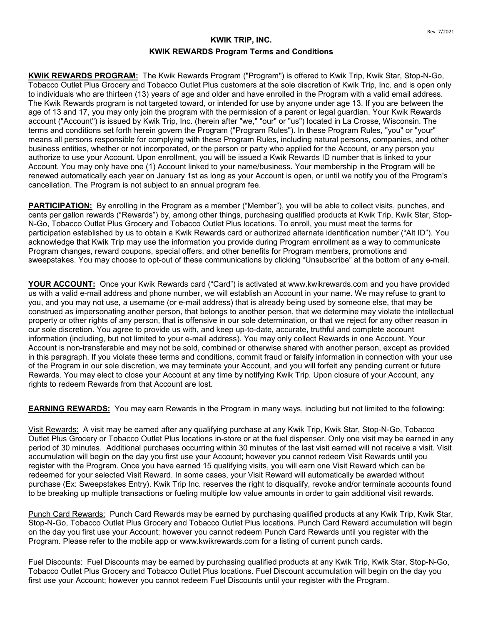## **KWIK TRIP, INC. KWIK REWARDS Program Terms and Conditions**

**KWIK REWARDS PROGRAM:** The Kwik Rewards Program ("Program") is offered to Kwik Trip, Kwik Star, Stop-N-Go, Tobacco Outlet Plus Grocery and Tobacco Outlet Plus customers at the sole discretion of Kwik Trip, Inc. and is open only to individuals who are thirteen (13) years of age and older and have enrolled in the Program with a valid email address. The Kwik Rewards program is not targeted toward, or intended for use by anyone under age 13. If you are between the age of 13 and 17, you may only join the program with the permission of a parent or legal guardian. Your Kwik Rewards account ("Account") is issued by Kwik Trip, Inc. (herein after "we," "our" or "us") located in La Crosse, Wisconsin. The terms and conditions set forth herein govern the Program ("Program Rules"). In these Program Rules, "you" or "your" means all persons responsible for complying with these Program Rules, including natural persons, companies, and other business entities, whether or not incorporated, or the person or party who applied for the Account, or any person you authorize to use your Account. Upon enrollment, you will be issued a Kwik Rewards ID number that is linked to your Account. You may only have one (1) Account linked to your name/business. Your membership in the Program will be renewed automatically each year on January 1st as long as your Account is open, or until we notify you of the Program's cancellation. The Program is not subject to an annual program fee.

**PARTICIPATION:** By enrolling in the Program as a member ("Member"), you will be able to collect visits, punches, and cents per gallon rewards ("Rewards") by, among other things, purchasing qualified products at Kwik Trip, Kwik Star, Stop-N-Go, Tobacco Outlet Plus Grocery and Tobacco Outlet Plus locations. To enroll, you must meet the terms for participation established by us to obtain a Kwik Rewards card or authorized alternate identification number ("Alt ID"). You acknowledge that Kwik Trip may use the information you provide during Program enrollment as a way to communicate Program changes, reward coupons, special offers, and other benefits for Program members, promotions and sweepstakes. You may choose to opt-out of these communications by clicking "Unsubscribe" at the bottom of any e-mail.

**YOUR ACCOUNT:** Once your Kwik Rewards card ("Card") is activated at www.kwikrewards.com and you have provided us with a valid e-mail address and phone number, we will establish an Account in your name. We may refuse to grant to you, and you may not use, a username (or e-mail address) that is already being used by someone else, that may be construed as impersonating another person, that belongs to another person, that we determine may violate the intellectual property or other rights of any person, that is offensive in our sole determination, or that we reject for any other reason in our sole discretion. You agree to provide us with, and keep up-to-date, accurate, truthful and complete account information (including, but not limited to your e-mail address). You may only collect Rewards in one Account. Your Account is non-transferable and may not be sold, combined or otherwise shared with another person, except as provided in this paragraph. If you violate these terms and conditions, commit fraud or falsify information in connection with your use of the Program in our sole discretion, we may terminate your Account, and you will forfeit any pending current or future Rewards. You may elect to close your Account at any time by notifying Kwik Trip. Upon closure of your Account, any rights to redeem Rewards from that Account are lost.

**EARNING REWARDS:** You may earn Rewards in the Program in many ways, including but not limited to the following:

Visit Rewards: A visit may be earned after any qualifying purchase at any Kwik Trip, Kwik Star, Stop-N-Go, Tobacco Outlet Plus Grocery or Tobacco Outlet Plus locations in-store or at the fuel dispenser. Only one visit may be earned in any period of 30 minutes. Additional purchases occurring within 30 minutes of the last visit earned will not receive a visit. Visit accumulation will begin on the day you first use your Account; however you cannot redeem Visit Rewards until you register with the Program. Once you have earned 15 qualifying visits, you will earn one Visit Reward which can be redeemed for your selected Visit Reward. In some cases, your Visit Reward will automatically be awarded without purchase (Ex: Sweepstakes Entry). Kwik Trip Inc. reserves the right to disqualify, revoke and/or terminate accounts found to be breaking up multiple transactions or fueling multiple low value amounts in order to gain additional visit rewards.

Punch Card Rewards: Punch Card Rewards may be earned by purchasing qualified products at any Kwik Trip, Kwik Star, Stop-N-Go, Tobacco Outlet Plus Grocery and Tobacco Outlet Plus locations. Punch Card Reward accumulation will begin on the day you first use your Account; however you cannot redeem Punch Card Rewards until you register with the Program. Please refer to the mobile app or www.kwikrewards.com for a listing of current punch cards.

Fuel Discounts: Fuel Discounts may be earned by purchasing qualified products at any Kwik Trip, Kwik Star, Stop-N-Go, Tobacco Outlet Plus Grocery and Tobacco Outlet Plus locations. Fuel Discount accumulation will begin on the day you first use your Account; however you cannot redeem Fuel Discounts until your register with the Program.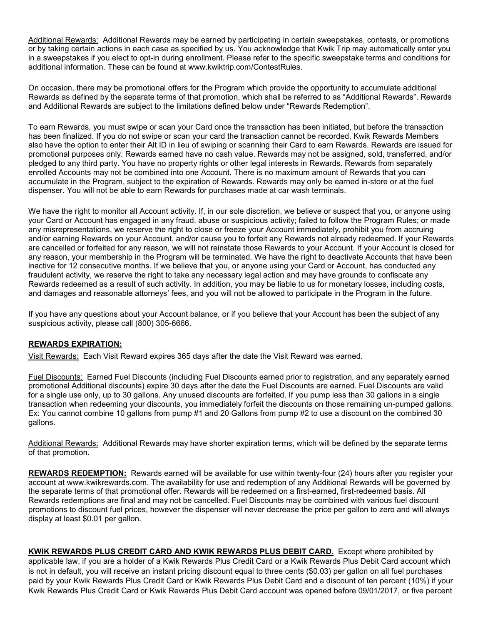Additional Rewards: Additional Rewards may be earned by participating in certain sweepstakes, contests, or promotions or by taking certain actions in each case as specified by us. You acknowledge that Kwik Trip may automatically enter you in a sweepstakes if you elect to opt-in during enrollment. Please refer to the specific sweepstake terms and conditions for additional information. These can be found at www.kwiktrip.com/ContestRules.

On occasion, there may be promotional offers for the Program which provide the opportunity to accumulate additional Rewards as defined by the separate terms of that promotion, which shall be referred to as "Additional Rewards". Rewards and Additional Rewards are subject to the limitations defined below under "Rewards Redemption".

To earn Rewards, you must swipe or scan your Card once the transaction has been initiated, but before the transaction has been finalized. If you do not swipe or scan your card the transaction cannot be recorded. Kwik Rewards Members also have the option to enter their Alt ID in lieu of swiping or scanning their Card to earn Rewards. Rewards are issued for promotional purposes only. Rewards earned have no cash value. Rewards may not be assigned, sold, transferred, and/or pledged to any third party. You have no property rights or other legal interests in Rewards. Rewards from separately enrolled Accounts may not be combined into one Account. There is no maximum amount of Rewards that you can accumulate in the Program, subject to the expiration of Rewards. Rewards may only be earned in-store or at the fuel dispenser. You will not be able to earn Rewards for purchases made at car wash terminals.

We have the right to monitor all Account activity. If, in our sole discretion, we believe or suspect that you, or anyone using your Card or Account has engaged in any fraud, abuse or suspicious activity; failed to follow the Program Rules; or made any misrepresentations, we reserve the right to close or freeze your Account immediately, prohibit you from accruing and/or earning Rewards on your Account, and/or cause you to forfeit any Rewards not already redeemed. If your Rewards are cancelled or forfeited for any reason, we will not reinstate those Rewards to your Account. If your Account is closed for any reason, your membership in the Program will be terminated. We have the right to deactivate Accounts that have been inactive for 12 consecutive months. If we believe that you, or anyone using your Card or Account, has conducted any fraudulent activity, we reserve the right to take any necessary legal action and may have grounds to confiscate any Rewards redeemed as a result of such activity. In addition, you may be liable to us for monetary losses, including costs, and damages and reasonable attorneys' fees, and you will not be allowed to participate in the Program in the future.

If you have any questions about your Account balance, or if you believe that your Account has been the subject of any suspicious activity, please call (800) 305-6666.

## **REWARDS EXPIRATION:**

Visit Rewards: Each Visit Reward expires 365 days after the date the Visit Reward was earned.

Fuel Discounts: Earned Fuel Discounts (including Fuel Discounts earned prior to registration, and any separately earned promotional Additional discounts) expire 30 days after the date the Fuel Discounts are earned. Fuel Discounts are valid for a single use only, up to 30 gallons. Any unused discounts are forfeited. If you pump less than 30 gallons in a single transaction when redeeming your discounts, you immediately forfeit the discounts on those remaining un-pumped gallons. Ex: You cannot combine 10 gallons from pump #1 and 20 Gallons from pump #2 to use a discount on the combined 30 gallons.

Additional Rewards: Additional Rewards may have shorter expiration terms, which will be defined by the separate terms of that promotion.

**REWARDS REDEMPTION:** Rewards earned will be available for use within twenty-four (24) hours after you register your account at www.kwikrewards.com. The availability for use and redemption of any Additional Rewards will be governed by the separate terms of that promotional offer. Rewards will be redeemed on a first-earned, first-redeemed basis. All Rewards redemptions are final and may not be cancelled. Fuel Discounts may be combined with various fuel discount promotions to discount fuel prices, however the dispenser will never decrease the price per gallon to zero and will always display at least \$0.01 per gallon.

**KWIK REWARDS PLUS CREDIT CARD AND KWIK REWARDS PLUS DEBIT CARD.** Except where prohibited by applicable law, if you are a holder of a Kwik Rewards Plus Credit Card or a Kwik Rewards Plus Debit Card account which is not in default, you will receive an instant pricing discount equal to three cents (\$0.03) per gallon on all fuel purchases paid by your Kwik Rewards Plus Credit Card or Kwik Rewards Plus Debit Card and a discount of ten percent (10%) if your Kwik Rewards Plus Credit Card or Kwik Rewards Plus Debit Card account was opened before 09/01/2017, or five percent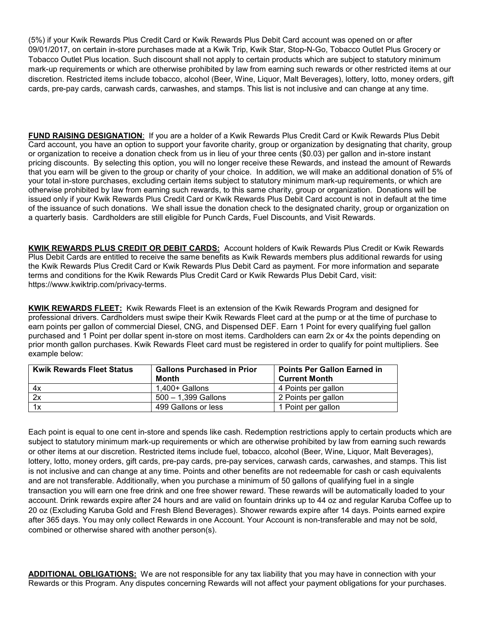(5%) if your Kwik Rewards Plus Credit Card or Kwik Rewards Plus Debit Card account was opened on or after 09/01/2017, on certain in-store purchases made at a Kwik Trip, Kwik Star, Stop-N-Go, Tobacco Outlet Plus Grocery or Tobacco Outlet Plus location. Such discount shall not apply to certain products which are subject to statutory minimum mark-up requirements or which are otherwise prohibited by law from earning such rewards or other restricted items at our discretion. Restricted items include tobacco, alcohol (Beer, Wine, Liquor, Malt Beverages), lottery, lotto, money orders, gift cards, pre-pay cards, carwash cards, carwashes, and stamps. This list is not inclusive and can change at any time.

**FUND RAISING DESIGNATION**: If you are a holder of a Kwik Rewards Plus Credit Card or Kwik Rewards Plus Debit Card account, you have an option to support your favorite charity, group or organization by designating that charity, group or organization to receive a donation check from us in lieu of your three cents (\$0.03) per gallon and in-store instant pricing discounts. By selecting this option, you will no longer receive these Rewards, and instead the amount of Rewards that you earn will be given to the group or charity of your choice. In addition, we will make an additional donation of 5% of your total in-store purchases, excluding certain items subject to statutory minimum mark-up requirements, or which are otherwise prohibited by law from earning such rewards, to this same charity, group or organization. Donations will be issued only if your Kwik Rewards Plus Credit Card or Kwik Rewards Plus Debit Card account is not in default at the time of the issuance of such donations. We shall issue the donation check to the designated charity, group or organization on a quarterly basis. Cardholders are still eligible for Punch Cards, Fuel Discounts, and Visit Rewards.

**KWIK REWARDS PLUS CREDIT OR DEBIT CARDS:** Account holders of Kwik Rewards Plus Credit or Kwik Rewards Plus Debit Cards are entitled to receive the same benefits as Kwik Rewards members plus additional rewards for using the Kwik Rewards Plus Credit Card or Kwik Rewards Plus Debit Card as payment. For more information and separate terms and conditions for the Kwik Rewards Plus Credit Card or Kwik Rewards Plus Debit Card, visit: https://www.kwiktrip.com/privacy-terms.

**KWIK REWARDS FLEET:** Kwik Rewards Fleet is an extension of the Kwik Rewards Program and designed for professional drivers. Cardholders must swipe their Kwik Rewards Fleet card at the pump or at the time of purchase to earn points per gallon of commercial Diesel, CNG, and Dispensed DEF. Earn 1 Point for every qualifying fuel gallon purchased and 1 Point per dollar spent in-store on most items. Cardholders can earn 2x or 4x the points depending on prior month gallon purchases. Kwik Rewards Fleet card must be registered in order to qualify for point multipliers. See example below:

| <b>Kwik Rewards Fleet Status</b> | <b>Gallons Purchased in Prior</b> | <b>Points Per Gallon Earned in</b> |
|----------------------------------|-----------------------------------|------------------------------------|
|                                  | <b>Month</b>                      | <b>Current Month</b>               |
| 4x                               | $1.400 +$ Gallons                 | 4 Points per gallon                |
| 2x                               | $500 - 1.399$ Gallons             | 2 Points per gallon                |
| 1x                               | 499 Gallons or less               | 1 Point per gallon                 |

Each point is equal to one cent in-store and spends like cash. Redemption restrictions apply to certain products which are subject to statutory minimum mark-up requirements or which are otherwise prohibited by law from earning such rewards or other items at our discretion. Restricted items include fuel, tobacco, alcohol (Beer, Wine, Liquor, Malt Beverages), lottery, lotto, money orders, gift cards, pre-pay cards, pre-pay services, carwash cards, carwashes, and stamps. This list is not inclusive and can change at any time. Points and other benefits are not redeemable for cash or cash equivalents and are not transferable. Additionally, when you purchase a minimum of 50 gallons of qualifying fuel in a single transaction you will earn one free drink and one free shower reward. These rewards will be automatically loaded to your account. Drink rewards expire after 24 hours and are valid on fountain drinks up to 44 oz and regular Karuba Coffee up to 20 oz (Excluding Karuba Gold and Fresh Blend Beverages). Shower rewards expire after 14 days. Points earned expire after 365 days. You may only collect Rewards in one Account. Your Account is non-transferable and may not be sold, combined or otherwise shared with another person(s).

**ADDITIONAL OBLIGATIONS:** We are not responsible for any tax liability that you may have in connection with your Rewards or this Program. Any disputes concerning Rewards will not affect your payment obligations for your purchases.